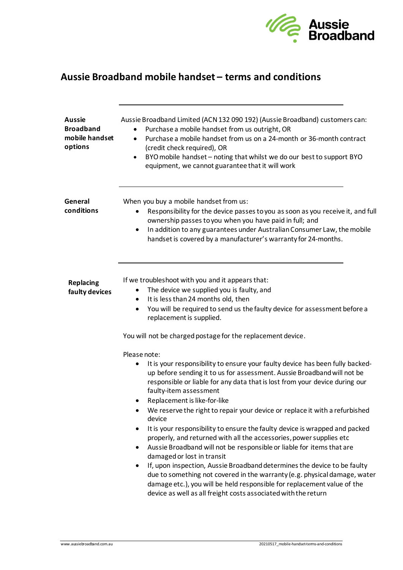

## **Aussie Broadband mobile handset – terms and conditions**

| <b>Aussie</b><br><b>Broadband</b><br>mobile handset<br>options | Aussie Broadband Limited (ACN 132 090 192) (Aussie Broadband) customers can:<br>Purchase a mobile handset from us outright, OR<br>Purchase a mobile handset from us on a 24-month or 36-month contract<br>$\bullet$<br>(credit check required), OR<br>BYO mobile handset - noting that whilst we do our best to support BYO<br>٠<br>equipment, we cannot guarantee that it will work                                                                                                                                                                                                                                                                                                                                                                                                                                                                                                                                                                                                                                      |
|----------------------------------------------------------------|---------------------------------------------------------------------------------------------------------------------------------------------------------------------------------------------------------------------------------------------------------------------------------------------------------------------------------------------------------------------------------------------------------------------------------------------------------------------------------------------------------------------------------------------------------------------------------------------------------------------------------------------------------------------------------------------------------------------------------------------------------------------------------------------------------------------------------------------------------------------------------------------------------------------------------------------------------------------------------------------------------------------------|
| General<br>conditions                                          | When you buy a mobile handset from us:<br>Responsibility for the device passes to you as soon as you receive it, and full<br>$\bullet$<br>ownership passes to you when you have paid in full; and<br>In addition to any guarantees under Australian Consumer Law, the mobile<br>$\bullet$<br>handset is covered by a manufacturer's warranty for 24-months.                                                                                                                                                                                                                                                                                                                                                                                                                                                                                                                                                                                                                                                               |
| <b>Replacing</b><br>faulty devices                             | If we troubleshoot with you and it appears that:<br>The device we supplied you is faulty, and<br>It is less than 24 months old, then<br>$\bullet$<br>You will be required to send us the faulty device for assessment before a<br>$\bullet$<br>replacement is supplied.<br>You will not be charged postage for the replacement device.                                                                                                                                                                                                                                                                                                                                                                                                                                                                                                                                                                                                                                                                                    |
|                                                                | Please note:<br>It is your responsibility to ensure your faulty device has been fully backed-<br>$\bullet$<br>up before sending it to us for assessment. Aussie Broadband will not be<br>responsible or liable for any data that is lost from your device during our<br>faulty-item assessment<br>Replacement is like-for-like<br>We reserve the right to repair your device or replace it with a refurbished<br>device<br>It is your responsibility to ensure the faulty device is wrapped and packed<br>$\bullet$<br>properly, and returned with all the accessories, power supplies etc<br>Aussie Broadband will not be responsible or liable for items that are<br>٠<br>damaged or lost in transit<br>If, upon inspection, Aussie Broadband determines the device to be faulty<br>$\bullet$<br>due to something not covered in the warranty (e.g. physical damage, water<br>damage etc.), you will be held responsible for replacement value of the<br>device as well as all freight costs associated with the return |